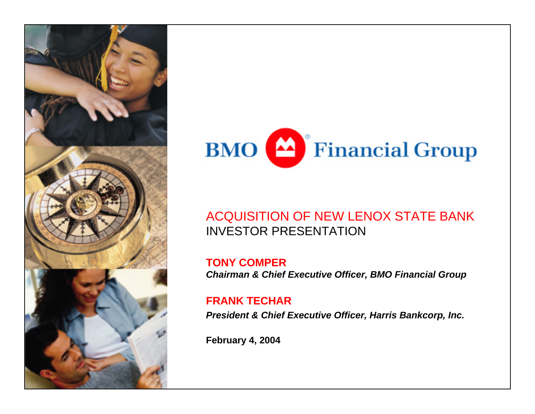



### ACQUISITION OF NEW LENOX STATE BANK INVESTOR PRESENTATION

**TONY COMPER***Chairman & Chief Executive Officer, BMO Financial Group*

### **FRANK TECHAR**

*President & Chief Executive Officer, Harris Bankcorp, Inc.* 

**February 4, 2004**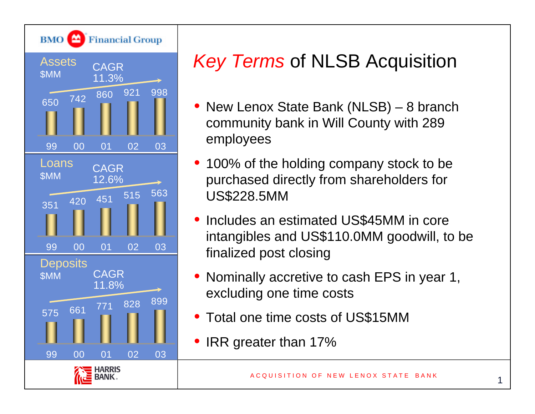

# *Key Terms* of NLSB Acquisition

- • New Lenox State Bank (NLSB) – 8 branch community bank in Will County with 289 employees
- 100% of the holding company stock to be purchased directly from shareholders for US\$228.5MM
- • Includes an estimated US\$45MM in core intangibles and US\$110.0MM goodwill, to be finalized post closing
- Nominally accretive to cash EPS in year 1, excluding one time costs
- Total one time costs of US\$15MM
- •IRR greater than 17%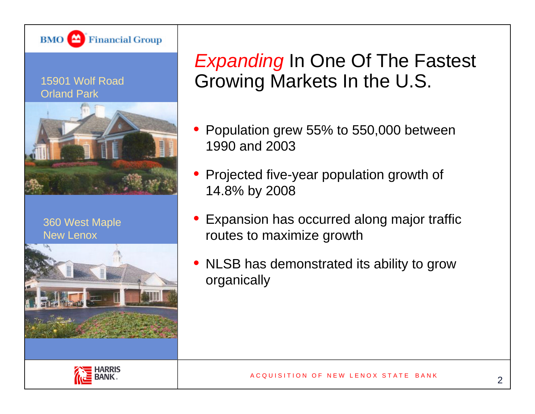

#### 15901 Wolf Road Orland Park



360 West Maple New Lenox



*Expanding* In One Of The Fastest Growing Markets In the U.S.

- Population grew 55% to 550,000 between 1990 and 2003
- Projected five-year population growth of 14.8% by 2008
- Expansion has occurred along major traffic routes to maximize growth
- NLSB has demonstrated its ability to grow organically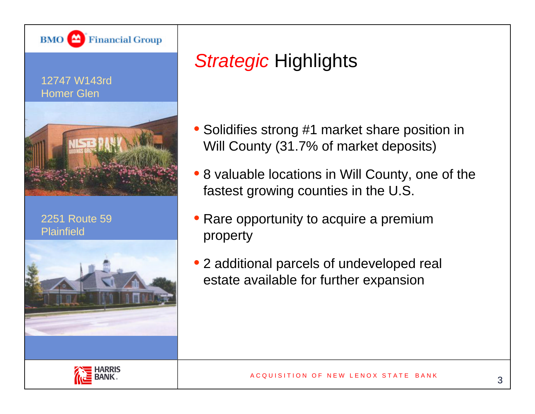

### 12747 W143rdHomer Glen



2251 Route 59Plainfield



## *Strategic* Highlights

- Solidifies strong #1 market share position in Will County (31.7% of market deposits)
- 8 valuable locations in Will County, one of the fastest growing counties in the U.S.
- Rare opportunity to acquire a premium property
- 2 additional parcels of undeveloped real estate available for further expansion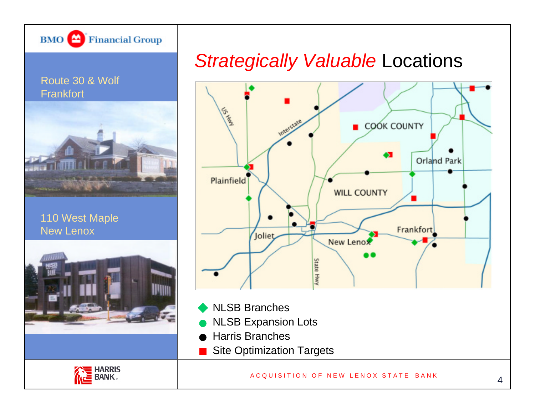

### *Strategically Valuable* Locations



- NLSB Branches
- NLSB Expansion Lots
- Harris Branches
- Site Optimization Targets

#### A C Q U I SITION OF NEW LENOX STATE BANK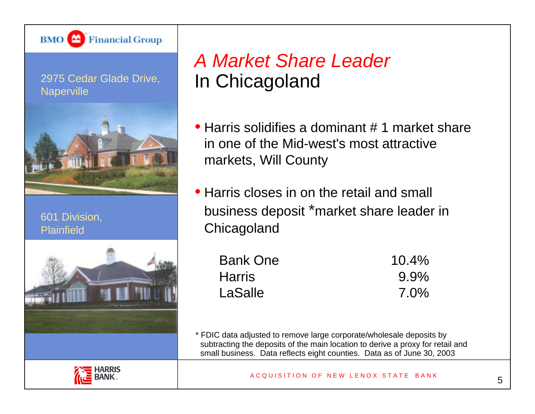

### 2975 Cedar Glade Drive, **Naperville**



601 Division, **Plainfield** 



## *A Market Share Leader* In Chicagoland

- Harris solidifies a dominant # 1 market share in one of the Mid-west's most attractive markets, Will County
- Harris closes in on the retail and small business deposit \*market share leader in **Chicagoland**

| <b>Bank One</b> | $10.4\%$ |
|-----------------|----------|
| <b>Harris</b>   | $9.9\%$  |
| LaSalle         | $7.0\%$  |

\* FDIC data adjusted to remove large corporate/wholesale deposits by subtracting the deposits of the main location to derive a proxy for retail and small business. Data reflects eight counties. Data as of June 30, 2003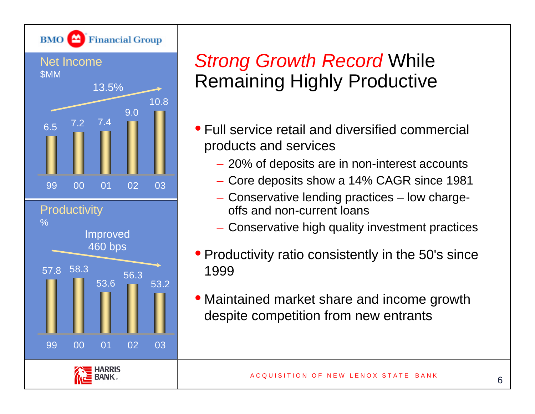

## *Strong Growth Record* While Remaining Highly Productive

- Full service retail and diversified commercial products and services
	- 20% of deposits are in non-interest accounts
	- Core deposits show a 14% CAGR since 1981
	- Conservative lending practices low chargeoffs and non-current loans
	- Conservative high quality investment practices
- Productivity ratio consistently in the 50's since 1999
- Maintained market share and income growth despite competition from new entrants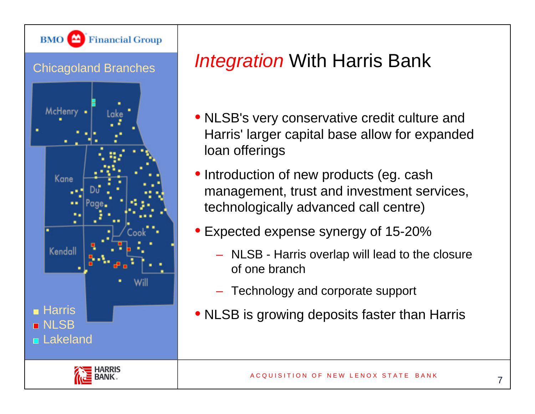

# *Integration* With Harris Bank

- NLSB's very conservative credit culture and Harris' larger capital base allow for expanded loan offerings
- • Introduction of new products (eg. cash management, trust and investment services, technologically advanced call centre)
- • Expected expense synergy of 15-20%
	- NLSB Harris overlap will lead to the closure of one branch
	- Technology and corporate support
- NLSB is growing deposits faster than Harris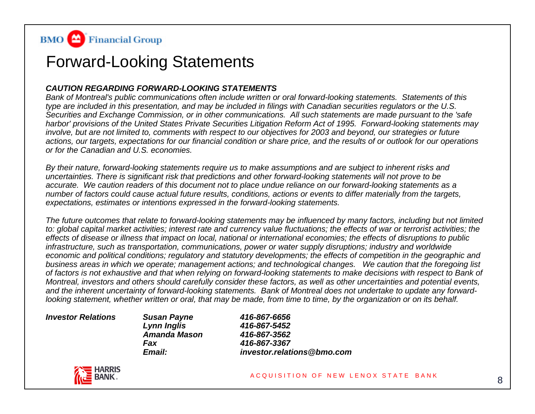

### Forward-Looking Statements

#### *CAUTION REGARDING FORWARD-LOOKING STATEMENTS*

*Bank of Montreal's public communications often include written or oral forward-looking statements. Statements of this type are included in this presentation, and may be included in filings with Canadian securities regulators or the U.S. Securities and Exchange Commission, or in other communications. All such statements are made pursuant to the 'safe harbor' provisions of the United States Private Securities Litigation Reform Act of 1995. Forward-looking statements may involve, but are not limited to, comments with respect to our objectives for 2003 and beyond, our strategies or future actions, our targets, expectations for our financial condition or share price, and the results of or outlook for our operations or for the Canadian and U.S. economies.* 

*By their nature, forward-looking statements require us to make assumptions and are subject to inherent risks and uncertainties. There is significant risk that predictions and other forward-looking statements will not prove to be accurate. We caution readers of this document not to place undue reliance on our forward-looking statements as a number of factors could cause actual future results, conditions, actions or events to differ materially from the targets, expectations, estimates or intentions expressed in the forward-looking statements.* 

*The future outcomes that relate to forward-looking statements may be influenced by many factors, including but not limited to: global capital market activities; interest rate and currency value fluctuations; the effects of war or terrorist activities; the effects of disease or illness that impact on local, national or international economies; the effects of disruptions to public infrastructure, such as transportation, communications, power or water supply disruptions; industry and worldwide economic and political conditions; regulatory and statutory developments; the effects of competition in the geographic and business areas in which we operate; management actions; and technological changes. We caution that the foregoing list of factors is not exhaustive and that when relying on forward-looking statements to make decisions with respect to Bank of Montreal, investors and others should carefully consider these factors, as well as other uncertainties and potential events, and the inherent uncertainty of forward-looking statements. Bank of Montreal does not undertake to update any forwardlooking statement, whether written or oral, that may be made, from time to time, by the organization or on its behalf.* 

*Investor Relations Susan Payne 416-867-6656 Amanda Mason 416-867-3562Fax 416-867-3367*

*Lynn Inglis 416-867-5452 Email: investor.relations@bmo.com*

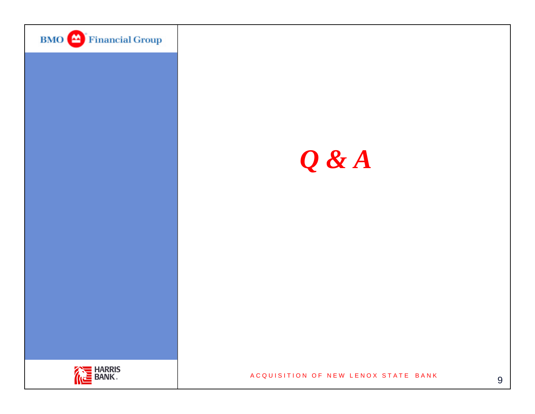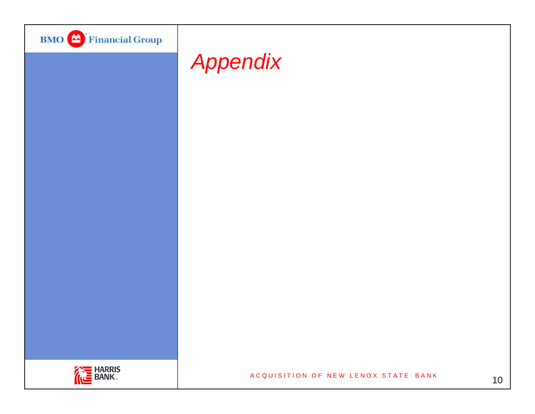